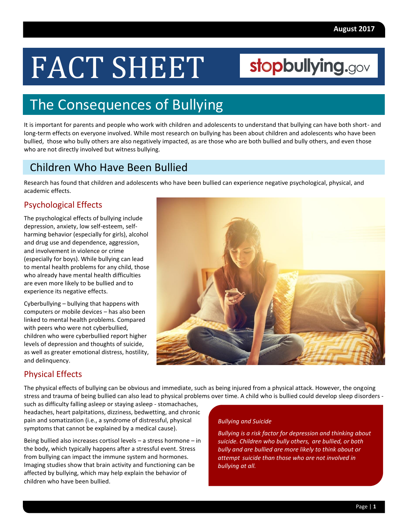# FACT SHEET

# stopbullying.gov

# The Consequences of Bullying

It is important for parents and people who work with children and adolescents to understand that bullying can have both short- and long-term effects on everyone involved. While most research on bullying has been about children and adolescents who have been bullied, those who bully others are also negatively impacted, as are those who are both bullied and bully others, and even those who are not directly involved but witness bullying.

### Children Who Have Been Bullied

Research has found that children and adolescents who have been bullied can experience negative psychological, physical, and academic effects.

#### Psychological Effects

The psychological effects of bullying include depression, anxiety, low self-esteem, selfharming behavior (especially for girls), alcohol and drug use and dependence, aggression, and involvement in violence or crime (especially for boys). While bullying can lead to mental health problems for any child, those who already have mental health difficulties are even more likely to be bullied and to experience its negative effects.

Cyberbullying – bullying that happens with computers or mobile devices – has also been linked to mental health problems. Compared with peers who were not cyberbullied, children who were cyberbullied report higher levels of depression and thoughts of suicide, as well as greater emotional distress, hostility, and delinquency.



#### Physical Effects

The physical effects of bullying can be obvious and immediate, such as being injured from a physical attack. However, the ongoing stress and trauma of being bullied can also lead to physical problems over time. A child who is bullied could develop sleep disorders -

such as difficulty falling asleep or staying asleep - stomachaches, headaches, heart palpitations, dizziness, bedwetting, and chronic pain and somatization (i.e., a syndrome of distressful, physical symptoms that cannot be explained by a medical cause).

Being bullied also increases cortisol levels – a stress hormone – in the body, which typically happens after a stressful event. Stress from bullying can impact the immune system and hormones. Imaging studies show that brain activity and functioning can be affected by bullying, which may help explain the behavior of children who have been bullied.

#### *Bullying and Suicide*

*Bullying is a risk factor for depression and thinking about suicide. Children who bully others, are bullied, or both bully and are bullied are more likely to think about or attempt suicide than those who are not involved in bullying at all.*